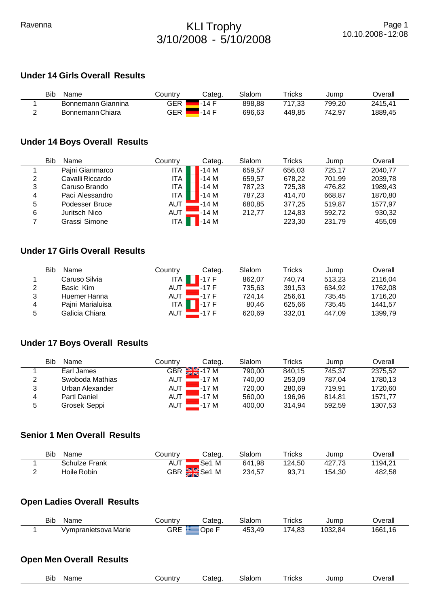# Ravenna **KLI Trophy** 3/10/2008 - 5/10/2008

# **Under 14 Girls Overall Results**

| Bib<br>Name        | ountryٽ | Categ. | Slalom | $r$ ricks | Jump   | ⊃verall |
|--------------------|---------|--------|--------|-----------|--------|---------|
| Bonnemann Giannina | GER     | .-14 F | 898.88 | 717.33    | 799.20 | 2415.41 |
| Bonnemann Chiara   | GER     | .-14 F | 696,63 | 449.85    | 742.97 | 1889,45 |

## **Under 14 Boys Overall Results**

|   | Bib<br>Name      | Countrv    | Categ.  | Slalom | Tricks | Jump   | Overall |
|---|------------------|------------|---------|--------|--------|--------|---------|
|   | Pajni Gianmarco  | ITA        | $-14M$  | 659.57 | 656,03 | 725,17 | 2040.77 |
| 2 | Cavalli Riccardo | ITA        | $-14M$  | 659,57 | 678.22 | 701.99 | 2039,78 |
| 3 | Caruso Brando    | <b>ITA</b> | $1-14M$ | 787,23 | 725,38 | 476,82 | 1989,43 |
| 4 | Paci Alessandro  | ITA        | $1-14M$ | 787.23 | 414.70 | 668.87 | 1870.80 |
| 5 | Podesser Bruce   | <b>AUT</b> | $-14M$  | 680,85 | 377.25 | 519.87 | 1577.97 |
| 6 | Juritsch Nico    | AUT        | $-14M$  | 212,77 | 124,83 | 592,72 | 930,32  |
|   | Grassi Simone    | ITA        | -14 M   |        | 223,30 | 231,79 | 455,09  |

# **Under 17 Girls Overall Results**

| Bib | Name             | Countrv | Categ.               | Slalom | Tricks | Jump   | Overall |
|-----|------------------|---------|----------------------|--------|--------|--------|---------|
|     | Caruso Silvia    | ITA     | $\sqrt{1-17}$ F      | 862.07 | 740.74 | 513.23 | 2116.04 |
| 2   | Basic Kim        | AUT     | $-17F$               | 735.63 | 391.53 | 634.92 | 1762.08 |
| 3   | Huemer Hanna     | AUT     | -17 F                | 724.14 | 256.61 | 735.45 | 1716.20 |
| 4   | Pajni Marialuisa | ITA     | $\blacksquare$ -17 F | 80.46  | 625.66 | 735.45 | 1441.57 |
| 5   | Galicia Chiara   | AUT     | .-17 F               | 620,69 | 332.01 | 447.09 | 1399.79 |

# **Under 17 Boys Overall Results**

|   | Bib<br>Name         | Country    | Categ.          | Slalom | Tricks | Jump   | Overall |
|---|---------------------|------------|-----------------|--------|--------|--------|---------|
|   | Earl James          |            | GBR $\geq 17 M$ | 790.00 | 840.15 | 745.37 | 2375.52 |
| 2 | Swoboda Mathias     | <b>AUT</b> | '-17 M          | 740.00 | 253.09 | 787.04 | 1780.13 |
| 3 | Urban Alexander     | <b>AUT</b> | $-17M$          | 720.00 | 280.69 | 719.91 | 1720.60 |
| 4 | <b>Partl Daniel</b> | <b>AUT</b> | $-17M$          | 560.00 | 196.96 | 814.81 | 1571.77 |
| 5 | Grosek Seppi        | <b>AUT</b> | $-17M$          | 400,00 | 314.94 | 592.59 | 1307,53 |

### **Senior 1 Men Overall Results**

| <b>Bib</b><br>Name | Country    | Categ.    | Slalom | $\tau$ ricks | Jump   | <b>Dverall</b> |
|--------------------|------------|-----------|--------|--------------|--------|----------------|
| Schulze Frank      | <b>AUT</b> | 'Se1 M    | 641,98 | 124.50       | 427.73 | 1194.21        |
| Hoile Robin        |            | GBR Se1 M | 234,57 | 93.71        | 154.30 | 482,58         |

# **Open Ladies Overall Results**

| Bib | Name                 | ountr∨ب | ;ateq | Slalom         | Tricks             | Jump    | )verall     |
|-----|----------------------|---------|-------|----------------|--------------------|---------|-------------|
|     | Vympranietsova Marie | GRE     | Ope   | 453.<br>453,49 | . ററ<br>74.<br>۰.o | 1032.84 | 1661<br>.16 |

# **Open Men Overall Results**

|--|